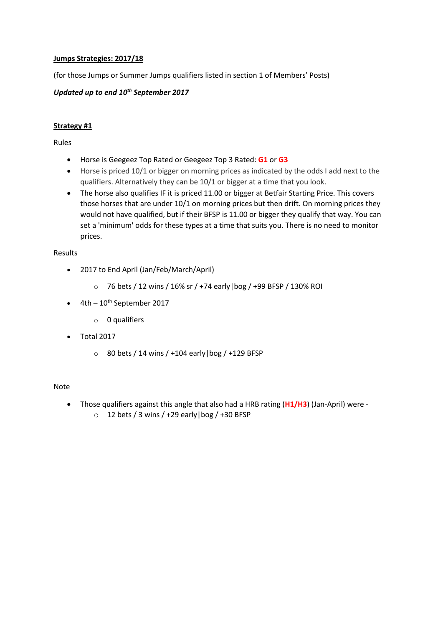# **Jumps Strategies: 2017/18**

(for those Jumps or Summer Jumps qualifiers listed in section 1 of Members' Posts)

# *Updated up to end 10th September 2017*

## **Strategy #1**

Rules

- Horse is Geegeez Top Rated or Geegeez Top 3 Rated: **G1** or **G3**
- Horse is priced 10/1 or bigger on morning prices as indicated by the odds I add next to the qualifiers. Alternatively they can be 10/1 or bigger at a time that you look.
- The horse also qualifies IF it is priced 11.00 or bigger at Betfair Starting Price. This covers those horses that are under 10/1 on morning prices but then drift. On morning prices they would not have qualified, but if their BFSP is 11.00 or bigger they qualify that way. You can set a 'minimum' odds for these types at a time that suits you. There is no need to monitor prices.

### Results

- 2017 to End April (Jan/Feb/March/April)
	- o 76 bets / 12 wins / 16% sr / +74 early|bog / +99 BFSP / 130% ROI
- $\bullet$  4th 10<sup>th</sup> September 2017
	- o 0 qualifiers
- Total 2017
	- $\circ$  80 bets / 14 wins / +104 early | bog / +129 BFSP

### Note

- Those qualifiers against this angle that also had a HRB rating (**H1/H3**) (Jan-April) were
	- $\circ$  12 bets / 3 wins / +29 early | bog / +30 BFSP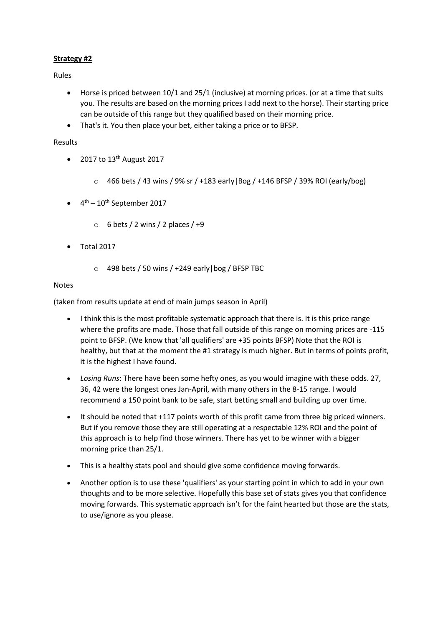# **Strategy #2**

Rules

- Horse is priced between 10/1 and 25/1 (inclusive) at morning prices. (or at a time that suits you. The results are based on the morning prices I add next to the horse). Their starting price can be outside of this range but they qualified based on their morning price.
- That's it. You then place your bet, either taking a price or to BFSP.

## Results

- 2017 to  $13<sup>th</sup>$  August 2017
	- $\circ$  466 bets / 43 wins / 9% sr / +183 early | Bog / +146 BFSP / 39% ROI (early/bog)
- $\bullet$  4<sup>th</sup> 10<sup>th</sup> September 2017
	- $\circ$  6 bets / 2 wins / 2 places / +9
- Total 2017
	- $\circ$  498 bets / 50 wins / +249 early | bog / BFSP TBC

## Notes

(taken from results update at end of main jumps season in April)

- I think this is the most profitable systematic approach that there is. It is this price range where the profits are made. Those that fall outside of this range on morning prices are -115 point to BFSP. (We know that 'all qualifiers' are +35 points BFSP) Note that the ROI is healthy, but that at the moment the #1 strategy is much higher. But in terms of points profit, it is the highest I have found.
- *Losing Runs*: There have been some hefty ones, as you would imagine with these odds. 27, 36, 42 were the longest ones Jan-April, with many others in the 8-15 range. I would recommend a 150 point bank to be safe, start betting small and building up over time.
- It should be noted that +117 points worth of this profit came from three big priced winners. But if you remove those they are still operating at a respectable 12% ROI and the point of this approach is to help find those winners. There has yet to be winner with a bigger morning price than 25/1.
- This is a healthy stats pool and should give some confidence moving forwards.
- Another option is to use these 'qualifiers' as your starting point in which to add in your own thoughts and to be more selective. Hopefully this base set of stats gives you that confidence moving forwards. This systematic approach isn't for the faint hearted but those are the stats, to use/ignore as you please.